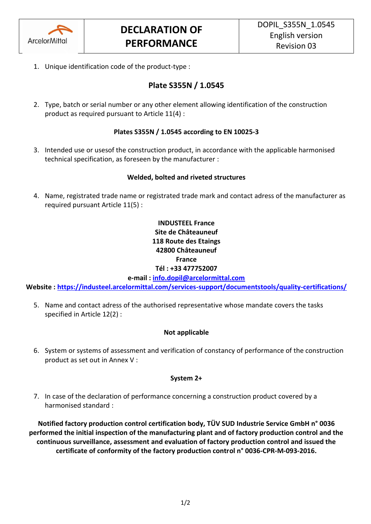

1. Unique identification code of the product-type :

## **Plate S355N / 1.0545**

2. Type, batch or serial number or any other element allowing identification of the construction product as required pursuant to Article 11(4) :

### **Plates S355N / 1.0545 according to EN 10025-3**

3. Intended use or usesof the construction product, in accordance with the applicable harmonised technical specification, as foreseen by the manufacturer :

#### **Welded, bolted and riveted structures**

4. Name, registrated trade name or registrated trade mark and contact adress of the manufacturer as required pursuant Article 11(5) :

### **INDUSTEEL France Site de Châteauneuf 118 Route des Etaings 42800 Châteauneuf France Tél : +33 477752007**

**e-mail : [info.dopil@arcelormittal.com](mailto:info.dopil@arcelormittal.com)**

**Website :<https://industeel.arcelormittal.com/services-support/documentstools/quality-certifications/>**

5. Name and contact adress of the authorised representative whose mandate covers the tasks specified in Article 12(2) :

#### **Not applicable**

6. System or systems of assessment and verification of constancy of performance of the construction product as set out in Annex V :

#### **System 2+**

7. In case of the declaration of performance concerning a construction product covered by a harmonised standard :

**Notified factory production control certification body, TÜV SUD Industrie Service GmbH n° 0036 performed the initial inspection of the manufacturing plant and of factory production control and the continuous surveillance, assessment and evaluation of factory production control and issued the certificate of conformity of the factory production control n° 0036-CPR-M-093-2016.**